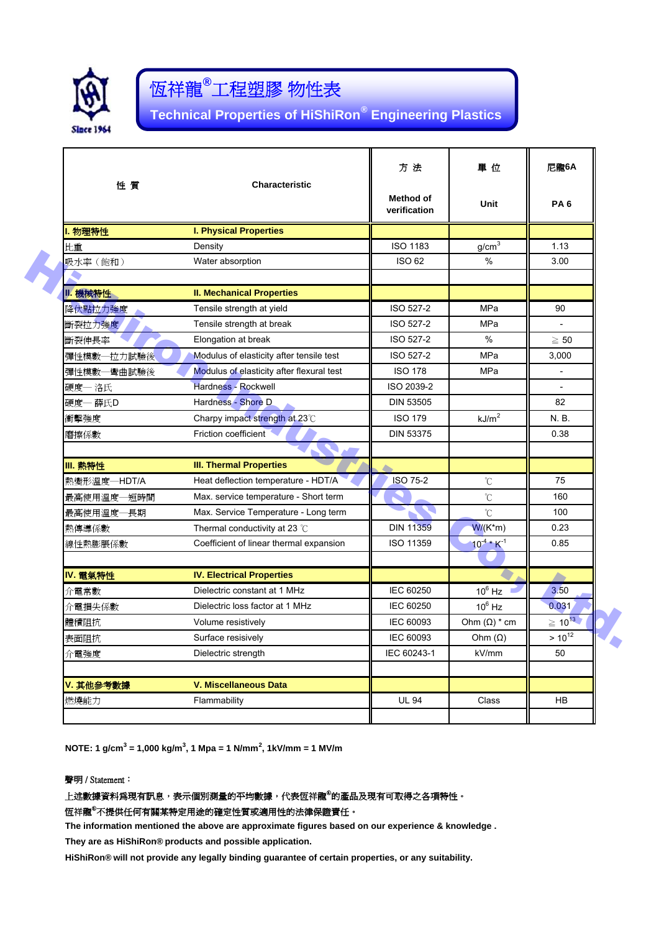

# 恆祥龍**®** 工程塑膠 物性表

**Technical Properties of HiShiRon® Engineering Plastics**

| 性質          | <b>Characteristic</b>                     | 方 法                       | 單 位                         | 尼龍6A                     |
|-------------|-------------------------------------------|---------------------------|-----------------------------|--------------------------|
|             |                                           | Method of<br>verification | Unit                        | PA <sub>6</sub>          |
| 1. 物理特性     | <b>I. Physical Properties</b>             |                           |                             |                          |
| 比重          | Density                                   | <b>ISO 1183</b>           | g/cm <sup>3</sup>           | 1.13                     |
| 吸水率 (飽和)    | Water absorption                          | <b>ISO 62</b>             | $\%$                        | 3.00                     |
| Ⅱ. 機械特性     | <b>II. Mechanical Properties</b>          |                           |                             |                          |
| 降伏點拉力強度     | Tensile strength at yield                 | ISO 527-2                 | MPa                         | 90                       |
| 斷裂拉力強度      | Tensile strength at break                 | ISO 527-2                 | MPa                         |                          |
| 斷裂伸長率       | Elongation at break                       | ISO 527-2                 | $\%$                        | $\geq 50$                |
| 彈性模數一拉力試驗後  | Modulus of elasticity after tensile test  | ISO 527-2                 | MPa                         | 3.000                    |
| 彈性模數一彎曲試驗後  | Modulus of elasticity after flexural test | <b>ISO 178</b>            | MPa                         | $\overline{\phantom{a}}$ |
| 硬度一 洛氏      | Hardness - Rockwell                       | ISO 2039-2                |                             | $\overline{a}$           |
| 硬度- 薛氏D     | Hardness - Shore D                        | <b>DIN 53505</b>          |                             | 82                       |
| 衝擊強度        | Charpy impact strength at 23°C            | <b>ISO 179</b>            | kJ/m <sup>2</sup>           | N. B.                    |
| 磨擦係數        | Friction coefficient                      | <b>DIN 53375</b>          |                             | 0.38                     |
|             |                                           |                           |                             |                          |
| Ⅲ. 熱特性      | <b>III. Thermal Properties</b>            |                           |                             |                          |
| 熱變形溫度–HDT/A | Heat deflection temperature - HDT/A       | <b>ISO 75-2</b>           | °C                          | 75                       |
| 最高使用溫度一短時間  | Max. service temperature - Short term     |                           | $\rm ^{\circ}C$             | 160                      |
| 最高使用溫度一長期   | Max. Service Temperature - Long term      |                           | $\rm{C}$                    | 100                      |
| 熱傳導係數       | Thermal conductivity at 23 $\degree$ C    | <b>DIN 11359</b>          | $W/(K*m)$                   | 0.23                     |
| 線性熱膨脹係數     | Coefficient of linear thermal expansion   | ISO 11359                 | $10^{-4}$ * K <sup>-1</sup> | 0.85                     |
| IV. 電氣特性    | <b>IV. Electrical Properties</b>          |                           |                             |                          |
| 介電常數        | Dielectric constant at 1 MHz              | <b>IEC 60250</b>          | $10^6$ Hz                   | ́<br>3.50                |
| 介電損失係數      | Dielectric loss factor at 1 MHz           | <b>IEC 60250</b>          | $10^6$ Hz                   | 0.031                    |
| 體積阻抗        | Volume resistively                        | <b>IEC 60093</b>          | Ohm $(\Omega)$ * cm         | $\geq 10^{13}$           |
| 表面阻抗        | Surface resisively                        | IEC 60093                 | Ohm $(\Omega)$              | $> 10^{12}$              |
| 介電強度        | Dielectric strength                       | IEC 60243-1               | kV/mm                       | 50                       |
| V. 其他參考數據   | <b>V. Miscellaneous Data</b>              |                           |                             |                          |
|             |                                           | <b>UL 94</b>              | Class                       |                          |

**NOTE: 1 g/cm<sup>3</sup> = 1,000 kg/m<sup>3</sup> , 1 Mpa = 1 N/mm<sup>2</sup> , 1kV/mm = 1 MV/m**

### 聲明 / Statement:

## 上述數據資料爲現有訊息,表示個別測量的平均數據,代表恆祥龍<sup>®</sup>的產品及現有可取得之各項特性。

恆祥龍®不提供任何有關某特定用途的確定性質或適用性的法律保證責任。

**The information mentioned the above are approximate figures based on our experience & knowledge .**

**They are as HiShiRon® products and possible application.**

**HiShiRon® will not provide any legally binding guarantee of certain properties, or any suitability.**